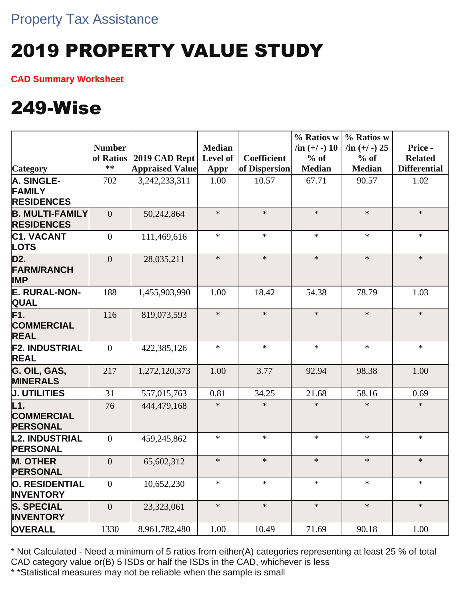# 2019 PROPERTY VALUE STUDY

**CAD Summary Worksheet**

### 249-Wise

|                                                    |                  |                        |               |                    | % Ratios w      | % Ratios w        |                     |
|----------------------------------------------------|------------------|------------------------|---------------|--------------------|-----------------|-------------------|---------------------|
|                                                    | <b>Number</b>    |                        | <b>Median</b> |                    | $\sin (+/-) 10$ | $/$ in $(+/-)$ 25 | Price -             |
|                                                    | of Ratios        | 2019 CAD Rept          | Level of      | <b>Coefficient</b> | $%$ of          | $%$ of            | <b>Related</b>      |
| <b>Category</b>                                    | $**$             | <b>Appraised Value</b> | Appr          | of Dispersion      | <b>Median</b>   | <b>Median</b>     | <b>Differential</b> |
| A. SINGLE-                                         | 702              | 3,242,233,311          | 1.00          | 10.57              | 67.71           | 90.57             | 1.02                |
| <b>FAMILY</b>                                      |                  |                        |               |                    |                 |                   |                     |
| <b>RESIDENCES</b>                                  |                  |                        |               |                    |                 |                   |                     |
| <b>B. MULTI-FAMILY</b>                             | $\overline{0}$   | 50,242,864             | $\ast$        | $\ast$             | $\ast$          | $\ast$            | $\ast$              |
| <b>RESIDENCES</b>                                  |                  |                        |               |                    |                 |                   |                     |
| <b>C1. VACANT</b><br><b>LOTS</b>                   | $\overline{0}$   | 111,469,616            | $\ast$        | $\ast$             | $\ast$          | $\ast$            | $\ast$              |
| D <sub>2</sub> .<br><b>FARM/RANCH</b>              | $\overline{0}$   | 28,035,211             | $\ast$        | $\ast$             | $\ast$          | $\ast$            | $\ast$              |
| <b>IMP</b>                                         |                  |                        |               |                    |                 |                   |                     |
| E. RURAL-NON-<br><b>QUAL</b>                       | 188              | 1,455,903,990          | 1.00          | 18.42              | 54.38           | 78.79             | 1.03                |
| F <sub>1</sub><br><b>COMMERCIAL</b><br><b>REAL</b> | 116              | 819,073,593            | $\ast$        | $\ast$             | $\ast$          | $\ast$            | $\ast$              |
| <b>F2. INDUSTRIAL</b><br><b>REAL</b>               | $\mathbf{0}$     | 422,385,126            | $\ast$        | $\ast$             | $\ast$          | $\ast$            | $\ast$              |
| G. OIL, GAS,<br><b>MINERALS</b>                    | 217              | 1,272,120,373          | 1.00          | 3.77               | 92.94           | 98.38             | 1.00                |
| <b>J. UTILITIES</b>                                | 31               | 557,015,763            | 0.81          | 34.25              | 21.68           | 58.16             | 0.69                |
| L1.<br><b>COMMERCIAL</b><br><b>PERSONAL</b>        | 76               | 444,479,168            | $\ast$        | $\ast$             | $\ast$          | $\ast$            | $\ast$              |
| <b>L2. INDUSTRIAL</b><br><b>PERSONAL</b>           | $\boldsymbol{0}$ | 459,245,862            | $\ast$        | $\ast$             | $\ast$          | $\ast$            | $\ast$              |
| <b>M. OTHER</b><br><b>PERSONAL</b>                 | $\overline{0}$   | 65,602,312             | $\ast$        | $\ast$             | $\ast$          | $\ast$            | $\ast$              |
| O. RESIDENTIAL<br><b>INVENTORY</b>                 | $\theta$         | 10,652,230             | $\ast$        | $\ast$             | $\ast$          | $\ast$            | $\ast$              |
| <b>S. SPECIAL</b><br><b>INVENTORY</b>              | $\theta$         | 23,323,061             | $\ast$        | $\ast$             | $\ast$          | $\ast$            | $\ast$              |
| <b>OVERALL</b>                                     | 1330             | 8,961,782,480          | 1.00          | 10.49              | 71.69           | 90.18             | 1.00                |

\* Not Calculated - Need a minimum of 5 ratios from either(A) categories representing at least 25 % of total CAD category value or(B) 5 ISDs or half the ISDs in the CAD, whichever is less

\* \*Statistical measures may not be reliable when the sample is small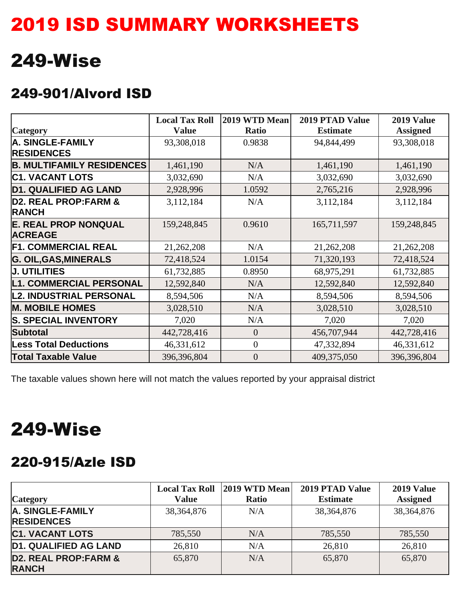### 2019 ISD SUMMARY WORKSHEETS

### 249-Wise

#### 249-901/Alvord ISD

|                                                 | <b>Local Tax Roll</b> | 2019 WTD Mean    | <b>2019 PTAD Value</b> | 2019 Value      |
|-------------------------------------------------|-----------------------|------------------|------------------------|-----------------|
| <b>Category</b>                                 | <b>Value</b>          | <b>Ratio</b>     | <b>Estimate</b>        | <b>Assigned</b> |
| <b>A. SINGLE-FAMILY</b>                         | 93,308,018            | 0.9838           | 94,844,499             | 93,308,018      |
| <b>RESIDENCES</b>                               |                       |                  |                        |                 |
| <b>B. MULTIFAMILY RESIDENCES</b>                | 1,461,190             | N/A              | 1,461,190              | 1,461,190       |
| <b>C1. VACANT LOTS</b>                          | 3,032,690             | N/A              | 3,032,690              | 3,032,690       |
| <b>D1. QUALIFIED AG LAND</b>                    | 2,928,996             | 1.0592           | 2,765,216              | 2,928,996       |
| <b>D2. REAL PROP:FARM &amp;</b><br><b>RANCH</b> | 3,112,184             | N/A              | 3,112,184              | 3,112,184       |
| <b>E. REAL PROP NONQUAL</b>                     | 159,248,845           | 0.9610           | 165,711,597            | 159,248,845     |
| <b>ACREAGE</b>                                  |                       |                  |                        |                 |
| <b>F1. COMMERCIAL REAL</b>                      | 21,262,208            | N/A              | 21,262,208             | 21,262,208      |
| <b>G. OIL, GAS, MINERALS</b>                    | 72,418,524            | 1.0154           | 71,320,193             | 72,418,524      |
| <b>J. UTILITIES</b>                             | 61,732,885            | 0.8950           | 68,975,291             | 61,732,885      |
| <b>L1. COMMERCIAL PERSONAL</b>                  | 12,592,840            | N/A              | 12,592,840             | 12,592,840      |
| <b>L2. INDUSTRIAL PERSONAL</b>                  | 8,594,506             | N/A              | 8,594,506              | 8,594,506       |
| <b>M. MOBILE HOMES</b>                          | 3,028,510             | N/A              | 3,028,510              | 3,028,510       |
| <b>S. SPECIAL INVENTORY</b>                     | 7,020                 | N/A              | 7,020                  | 7,020           |
| <b>Subtotal</b>                                 | 442,728,416           | $\overline{0}$   | 456,707,944            | 442,728,416     |
| <b>Less Total Deductions</b>                    | 46,331,612            | $\mathbf{0}$     | 47,332,894             | 46,331,612      |
| <b>Total Taxable Value</b>                      | 396,396,804           | $\boldsymbol{0}$ | 409,375,050            | 396,396,804     |

The taxable values shown here will not match the values reported by your appraisal district

### 249-Wise

#### 220-915/Azle ISD

|                                                 | <b>Local Tax Roll</b> | 2019 WTD Mean | 2019 PTAD Value | 2019 Value      |
|-------------------------------------------------|-----------------------|---------------|-----------------|-----------------|
| <b>Category</b>                                 | Value                 | <b>Ratio</b>  | <b>Estimate</b> | <b>Assigned</b> |
| A. SINGLE-FAMILY<br><b>RESIDENCES</b>           | 38, 364, 876          | N/A           | 38, 364, 876    | 38, 364, 876    |
| <b>C1. VACANT LOTS</b>                          | 785,550               | N/A           | 785,550         | 785,550         |
| <b>D1. QUALIFIED AG LAND</b>                    | 26,810                | N/A           | 26,810          | 26,810          |
| <b>D2. REAL PROP:FARM &amp;</b><br><b>RANCH</b> | 65,870                | N/A           | 65,870          | 65,870          |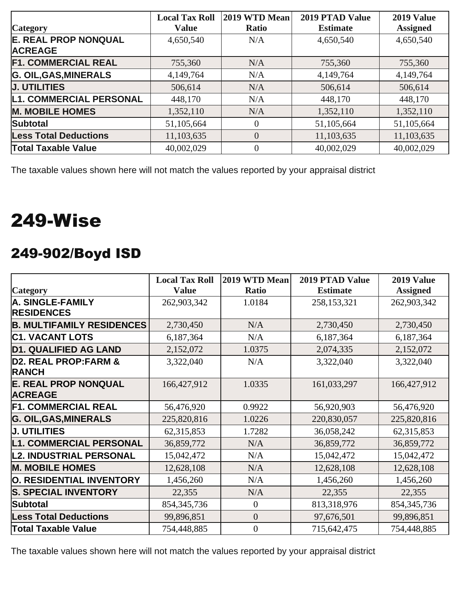| <b>Category</b>                               | <b>Local Tax Roll</b><br><b>Value</b> | 2019 WTD Mean<br><b>Ratio</b> | 2019 PTAD Value<br><b>Estimate</b> | 2019 Value<br><b>Assigned</b> |
|-----------------------------------------------|---------------------------------------|-------------------------------|------------------------------------|-------------------------------|
| <b>E. REAL PROP NONQUAL</b><br><b>ACREAGE</b> | 4,650,540                             | N/A                           | 4,650,540                          | 4,650,540                     |
| <b>F1. COMMERCIAL REAL</b>                    | 755,360                               | N/A                           | 755,360                            | 755,360                       |
| <b>G. OIL, GAS, MINERALS</b>                  | 4,149,764                             | N/A                           | 4,149,764                          | 4,149,764                     |
| <b>J. UTILITIES</b>                           | 506,614                               | N/A                           | 506,614                            | 506,614                       |
| <b>L1. COMMERCIAL PERSONAL</b>                | 448,170                               | N/A                           | 448,170                            | 448,170                       |
| <b>M. MOBILE HOMES</b>                        | 1,352,110                             | N/A                           | 1,352,110                          | 1,352,110                     |
| <b>Subtotal</b>                               | 51,105,664                            | $\Omega$                      | 51,105,664                         | 51,105,664                    |
| <b>Less Total Deductions</b>                  | 11,103,635                            | $\theta$                      | 11,103,635                         | 11,103,635                    |
| <b>Total Taxable Value</b>                    | 40,002,029                            | $\Omega$                      | 40,002,029                         | 40,002,029                    |

### 249-Wise

#### 249-902/Boyd ISD

|                                  | <b>Local Tax Roll</b> | 2019 WTD Mean    | 2019 PTAD Value | 2019 Value      |
|----------------------------------|-----------------------|------------------|-----------------|-----------------|
| <b>Category</b>                  | <b>Value</b>          | <b>Ratio</b>     | <b>Estimate</b> | <b>Assigned</b> |
| <b>A. SINGLE-FAMILY</b>          | 262,903,342           | 1.0184           | 258,153,321     | 262,903,342     |
| <b>RESIDENCES</b>                |                       |                  |                 |                 |
| <b>B. MULTIFAMILY RESIDENCES</b> | 2,730,450             | N/A              | 2,730,450       | 2,730,450       |
| <b>C1. VACANT LOTS</b>           | 6,187,364             | N/A              | 6,187,364       | 6,187,364       |
| <b>D1. QUALIFIED AG LAND</b>     | 2,152,072             | 1.0375           | 2,074,335       | 2,152,072       |
| <b>D2. REAL PROP:FARM &amp;</b>  | 3,322,040             | N/A              | 3,322,040       | 3,322,040       |
| <b>RANCH</b>                     |                       |                  |                 |                 |
| <b>E. REAL PROP NONQUAL</b>      | 166,427,912           | 1.0335           | 161,033,297     | 166,427,912     |
| <b>ACREAGE</b>                   |                       |                  |                 |                 |
| <b>F1. COMMERCIAL REAL</b>       | 56,476,920            | 0.9922           | 56,920,903      | 56,476,920      |
| <b>G. OIL, GAS, MINERALS</b>     | 225,820,816           | 1.0226           | 220,830,057     | 225,820,816     |
| <b>J. UTILITIES</b>              | 62,315,853            | 1.7282           | 36,058,242      | 62,315,853      |
| <b>L1. COMMERCIAL PERSONAL</b>   | 36,859,772            | N/A              | 36,859,772      | 36,859,772      |
| <b>L2. INDUSTRIAL PERSONAL</b>   | 15,042,472            | N/A              | 15,042,472      | 15,042,472      |
| <b>M. MOBILE HOMES</b>           | 12,628,108            | N/A              | 12,628,108      | 12,628,108      |
| O. RESIDENTIAL INVENTORY         | 1,456,260             | N/A              | 1,456,260       | 1,456,260       |
| <b>S. SPECIAL INVENTORY</b>      | 22,355                | N/A              | 22,355          | 22,355          |
| <b>Subtotal</b>                  | 854, 345, 736         | $\boldsymbol{0}$ | 813,318,976     | 854, 345, 736   |
| <b>Less Total Deductions</b>     | 99,896,851            | $\overline{0}$   | 97,676,501      | 99,896,851      |
| <b>Total Taxable Value</b>       | 754,448,885           | $\boldsymbol{0}$ | 715,642,475     | 754,448,885     |

The taxable values shown here will not match the values reported by your appraisal district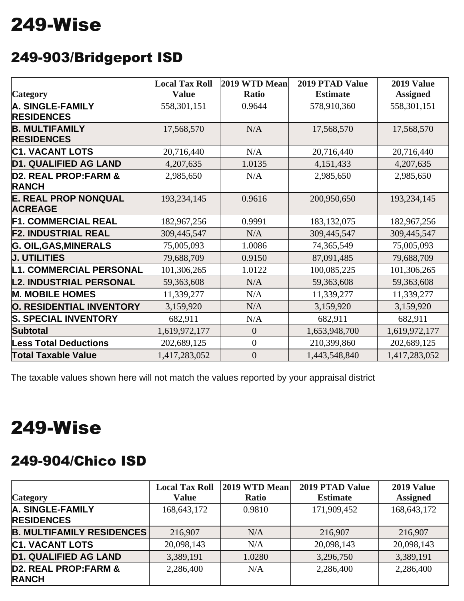## 249-Wise

#### 249-903/Bridgeport ISD

|                                               | <b>Local Tax Roll</b> | 2019 WTD Mean    | <b>2019 PTAD Value</b> | 2019 Value      |
|-----------------------------------------------|-----------------------|------------------|------------------------|-----------------|
| <b>Category</b>                               | <b>Value</b>          | Ratio            | <b>Estimate</b>        | <b>Assigned</b> |
| A. SINGLE-FAMILY                              | 558,301,151           | 0.9644           | 578,910,360            | 558,301,151     |
| <b>RESIDENCES</b>                             |                       |                  |                        |                 |
| <b>B. MULTIFAMILY</b>                         | 17,568,570            | N/A              | 17,568,570             | 17,568,570      |
| <b>RESIDENCES</b>                             |                       |                  |                        |                 |
| <b>C1. VACANT LOTS</b>                        | 20,716,440            | N/A              | 20,716,440             | 20,716,440      |
| <b>D1. QUALIFIED AG LAND</b>                  | 4,207,635             | 1.0135           | 4,151,433              | 4,207,635       |
| D2. REAL PROP: FARM &<br><b>RANCH</b>         | 2,985,650             | N/A              | 2,985,650              | 2,985,650       |
| <b>E. REAL PROP NONQUAL</b><br><b>ACREAGE</b> | 193,234,145           | 0.9616           | 200,950,650            | 193,234,145     |
| <b>F1. COMMERCIAL REAL</b>                    | 182,967,256           | 0.9991           | 183, 132, 075          | 182,967,256     |
| <b>F2. INDUSTRIAL REAL</b>                    | 309,445,547           | N/A              | 309,445,547            | 309,445,547     |
| <b>G. OIL, GAS, MINERALS</b>                  | 75,005,093            | 1.0086           | 74,365,549             | 75,005,093      |
| <b>J. UTILITIES</b>                           | 79,688,709            | 0.9150           | 87,091,485             | 79,688,709      |
| <b>L1. COMMERCIAL PERSONAL</b>                | 101,306,265           | 1.0122           | 100,085,225            | 101,306,265     |
| <b>L2. INDUSTRIAL PERSONAL</b>                | 59,363,608            | N/A              | 59,363,608             | 59,363,608      |
| <b>M. MOBILE HOMES</b>                        | 11,339,277            | N/A              | 11,339,277             | 11,339,277      |
| O. RESIDENTIAL INVENTORY                      | 3,159,920             | N/A              | 3,159,920              | 3,159,920       |
| <b>S. SPECIAL INVENTORY</b>                   | 682,911               | N/A              | 682,911                | 682,911         |
| <b>Subtotal</b>                               | 1,619,972,177         | $\overline{0}$   | 1,653,948,700          | 1,619,972,177   |
| <b>Less Total Deductions</b>                  | 202,689,125           | $\overline{0}$   | 210,399,860            | 202,689,125     |
| <b>Total Taxable Value</b>                    | 1,417,283,052         | $\boldsymbol{0}$ | 1,443,548,840          | 1,417,283,052   |

The taxable values shown here will not match the values reported by your appraisal district

### 249-Wise

#### 249-904/Chico ISD

| <b>Category</b>                       | <b>Local Tax Roll</b><br><b>Value</b> | 2019 WTD Mean<br><b>Ratio</b> | 2019 PTAD Value<br><b>Estimate</b> | 2019 Value<br><b>Assigned</b> |
|---------------------------------------|---------------------------------------|-------------------------------|------------------------------------|-------------------------------|
| A. SINGLE-FAMILY<br><b>RESIDENCES</b> | 168,643,172                           | 0.9810                        | 171,909,452                        | 168, 643, 172                 |
| <b>B. MULTIFAMILY RESIDENCES</b>      | 216,907                               | N/A                           | 216,907                            | 216,907                       |
| <b>C1. VACANT LOTS</b>                | 20,098,143                            | N/A                           | 20,098,143                         | 20,098,143                    |
| <b>D1. QUALIFIED AG LAND</b>          | 3,389,191                             | 1.0280                        | 3,296,750                          | 3,389,191                     |
| D2. REAL PROP: FARM &<br><b>RANCH</b> | 2,286,400                             | N/A                           | 2,286,400                          | 2,286,400                     |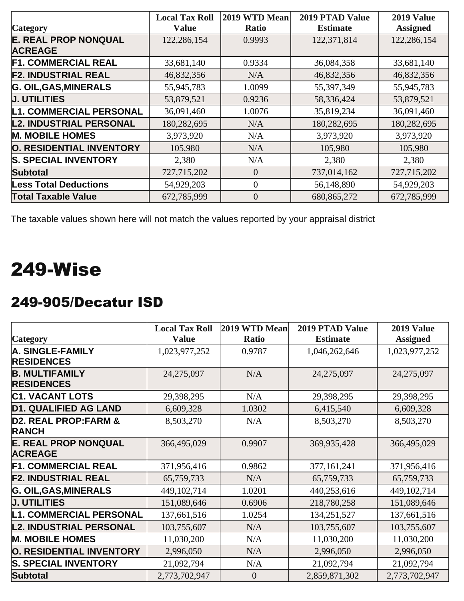|                                | <b>Local Tax Roll</b> | 2019 WTD Mean  | 2019 PTAD Value | <b>2019 Value</b> |
|--------------------------------|-----------------------|----------------|-----------------|-------------------|
| <b>Category</b>                | <b>Value</b>          | <b>Ratio</b>   | <b>Estimate</b> | <b>Assigned</b>   |
| <b>E. REAL PROP NONQUAL</b>    | 122,286,154           | 0.9993         | 122,371,814     | 122,286,154       |
| <b>ACREAGE</b>                 |                       |                |                 |                   |
| <b>F1. COMMERCIAL REAL</b>     | 33,681,140            | 0.9334         | 36,084,358      | 33,681,140        |
| <b>F2. INDUSTRIAL REAL</b>     | 46,832,356            | N/A            | 46,832,356      | 46,832,356        |
| <b>G. OIL, GAS, MINERALS</b>   | 55,945,783            | 1.0099         | 55,397,349      | 55,945,783        |
| <b>J. UTILITIES</b>            | 53,879,521            | 0.9236         | 58,336,424      | 53,879,521        |
| <b>L1. COMMERCIAL PERSONAL</b> | 36,091,460            | 1.0076         | 35,819,234      | 36,091,460        |
| <b>L2. INDUSTRIAL PERSONAL</b> | 180,282,695           | N/A            | 180,282,695     | 180,282,695       |
| <b>M. MOBILE HOMES</b>         | 3,973,920             | N/A            | 3,973,920       | 3,973,920         |
| O. RESIDENTIAL INVENTORY       | 105,980               | N/A            | 105,980         | 105,980           |
| <b>S. SPECIAL INVENTORY</b>    | 2,380                 | N/A            | 2,380           | 2,380             |
| <b>Subtotal</b>                | 727,715,202           | $\overline{0}$ | 737,014,162     | 727,715,202       |
| <b>Less Total Deductions</b>   | 54,929,203            | $\mathbf{0}$   | 56,148,890      | 54,929,203        |
| <b>Total Taxable Value</b>     | 672,785,999           | $\overline{0}$ | 680, 865, 272   | 672,785,999       |

### 249-Wise

#### 249-905/Decatur ISD

|                                               | <b>Local Tax Roll</b> | 2019 WTD Mean    | <b>2019 PTAD Value</b> | 2019 Value      |
|-----------------------------------------------|-----------------------|------------------|------------------------|-----------------|
| <b>Category</b>                               | <b>Value</b>          | <b>Ratio</b>     | <b>Estimate</b>        | <b>Assigned</b> |
| A. SINGLE-FAMILY                              | 1,023,977,252         | 0.9787           | 1,046,262,646          | 1,023,977,252   |
| <b>RESIDENCES</b>                             |                       |                  |                        |                 |
| <b>B. MULTIFAMILY</b>                         | 24,275,097            | N/A              | 24,275,097             | 24,275,097      |
| <b>RESIDENCES</b>                             |                       |                  |                        |                 |
| <b>C1. VACANT LOTS</b>                        | 29,398,295            | N/A              | 29,398,295             | 29,398,295      |
| <b>D1. QUALIFIED AG LAND</b>                  | 6,609,328             | 1.0302           | 6,415,540              | 6,609,328       |
| D2. REAL PROP: FARM &<br><b>RANCH</b>         | 8,503,270             | N/A              | 8,503,270              | 8,503,270       |
| <b>E. REAL PROP NONQUAL</b><br><b>ACREAGE</b> | 366,495,029           | 0.9907           | 369,935,428            | 366,495,029     |
| <b>F1. COMMERCIAL REAL</b>                    | 371,956,416           | 0.9862           | 377, 161, 241          | 371,956,416     |
| <b>F2. INDUSTRIAL REAL</b>                    | 65,759,733            | N/A              | 65,759,733             | 65,759,733      |
| <b>G. OIL, GAS, MINERALS</b>                  | 449,102,714           | 1.0201           | 440,253,616            | 449, 102, 714   |
| <b>J. UTILITIES</b>                           | 151,089,646           | 0.6906           | 218,780,258            | 151,089,646     |
| <b>L1. COMMERCIAL PERSONAL</b>                | 137,661,516           | 1.0254           | 134,251,527            | 137,661,516     |
| <b>L2. INDUSTRIAL PERSONAL</b>                | 103,755,607           | N/A              | 103,755,607            | 103,755,607     |
| <b>M. MOBILE HOMES</b>                        | 11,030,200            | N/A              | 11,030,200             | 11,030,200      |
| O. RESIDENTIAL INVENTORY                      | 2,996,050             | N/A              | 2,996,050              | 2,996,050       |
| <b>S. SPECIAL INVENTORY</b>                   | 21,092,794            | N/A              | 21,092,794             | 21,092,794      |
| <b>Subtotal</b>                               | 2,773,702,947         | $\boldsymbol{0}$ | 2,859,871,302          | 2,773,702,947   |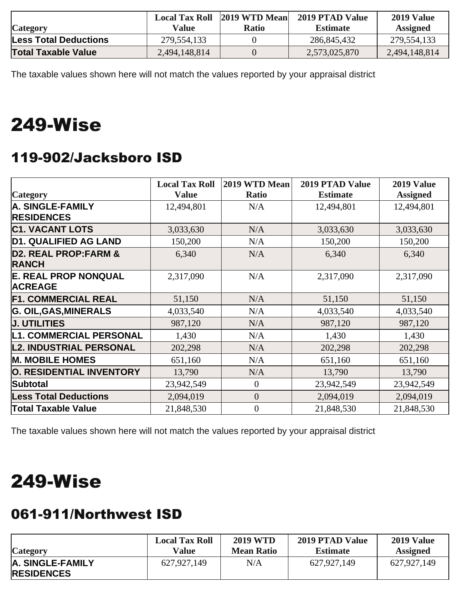|                              |               | Local Tax Roll 2019 WTD Mean | 2019 PTAD Value | 2019 Value      |
|------------------------------|---------------|------------------------------|-----------------|-----------------|
| <b>Category</b>              | Value         | Ratio                        | <b>Estimate</b> | <b>Assigned</b> |
| <b>Less Total Deductions</b> | 279,554,133   |                              | 286,845,432     | 279,554,133     |
| <b>Total Taxable Value</b>   | 2,494,148,814 |                              | 2,573,025,870   | 2,494,148,814   |

## 249-Wise

#### 119-902/Jacksboro ISD

|                                                 | <b>Local Tax Roll</b> | 2019 WTD Mean  | 2019 PTAD Value | 2019 Value      |
|-------------------------------------------------|-----------------------|----------------|-----------------|-----------------|
| <b>Category</b>                                 | <b>Value</b>          | <b>Ratio</b>   | <b>Estimate</b> | <b>Assigned</b> |
| A. SINGLE-FAMILY                                | 12,494,801            | N/A            | 12,494,801      | 12,494,801      |
| <b>RESIDENCES</b>                               |                       |                |                 |                 |
| <b>C1. VACANT LOTS</b>                          | 3,033,630             | N/A            | 3,033,630       | 3,033,630       |
| <b>D1. QUALIFIED AG LAND</b>                    | 150,200               | N/A            | 150,200         | 150,200         |
| <b>D2. REAL PROP:FARM &amp;</b><br><b>RANCH</b> | 6,340                 | N/A            | 6,340           | 6,340           |
| <b>E. REAL PROP NONQUAL</b><br><b>ACREAGE</b>   | 2,317,090             | N/A            | 2,317,090       | 2,317,090       |
| <b>F1. COMMERCIAL REAL</b>                      | 51,150                | N/A            | 51,150          | 51,150          |
| <b>G. OIL, GAS, MINERALS</b>                    | 4,033,540             | N/A            | 4,033,540       | 4,033,540       |
| <b>J. UTILITIES</b>                             | 987,120               | N/A            | 987,120         | 987,120         |
| <b>L1. COMMERCIAL PERSONAL</b>                  | 1,430                 | N/A            | 1,430           | 1,430           |
| <b>L2. INDUSTRIAL PERSONAL</b>                  | 202,298               | N/A            | 202,298         | 202,298         |
| <b>M. MOBILE HOMES</b>                          | 651,160               | N/A            | 651,160         | 651,160         |
| O. RESIDENTIAL INVENTORY                        | 13,790                | N/A            | 13,790          | 13,790          |
| Subtotal                                        | 23,942,549            | $\theta$       | 23,942,549      | 23,942,549      |
| <b>Less Total Deductions</b>                    | 2,094,019             | $\overline{0}$ | 2,094,019       | 2,094,019       |
| <b>Total Taxable Value</b>                      | 21,848,530            | $\overline{0}$ | 21,848,530      | 21,848,530      |

The taxable values shown here will not match the values reported by your appraisal district

### 249-Wise

#### 061-911/Northwest ISD

| <b>Category</b>                       | <b>Local Tax Roll</b> | <b>2019 WTD</b>   | 2019 PTAD Value | 2019 Value      |
|---------------------------------------|-----------------------|-------------------|-----------------|-----------------|
|                                       | Value                 | <b>Mean Ratio</b> | <b>Estimate</b> | <b>Assigned</b> |
| A. SINGLE-FAMILY<br><b>RESIDENCES</b> | 627,927,149           | N/A               | 627,927,149     | 627,927,149     |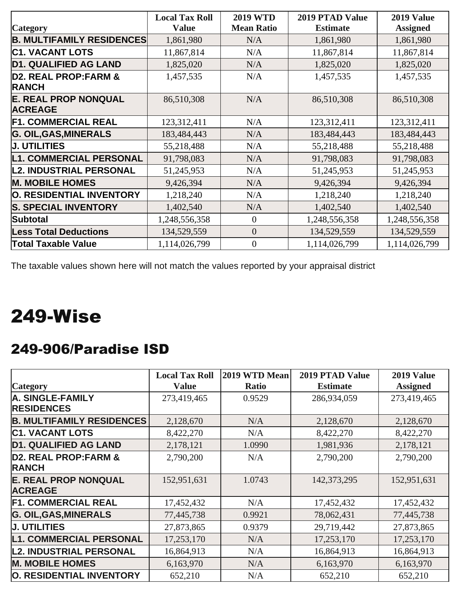|                                                 | <b>Local Tax Roll</b> | <b>2019 WTD</b>   | 2019 PTAD Value | 2019 Value      |
|-------------------------------------------------|-----------------------|-------------------|-----------------|-----------------|
| <b>Category</b>                                 | <b>Value</b>          | <b>Mean Ratio</b> | <b>Estimate</b> | <b>Assigned</b> |
| <b>B. MULTIFAMILY RESIDENCES</b>                | 1,861,980             | N/A               | 1,861,980       | 1,861,980       |
| <b>C1. VACANT LOTS</b>                          | 11,867,814            | N/A               | 11,867,814      | 11,867,814      |
| <b>D1. QUALIFIED AG LAND</b>                    | 1,825,020             | N/A               | 1,825,020       | 1,825,020       |
| <b>D2. REAL PROP:FARM &amp;</b><br><b>RANCH</b> | 1,457,535             | N/A               | 1,457,535       | 1,457,535       |
| <b>E. REAL PROP NONQUAL</b><br><b>ACREAGE</b>   | 86,510,308            | N/A               | 86,510,308      | 86,510,308      |
| <b>F1. COMMERCIAL REAL</b>                      | 123,312,411           | N/A               | 123,312,411     | 123,312,411     |
| <b>G. OIL, GAS, MINERALS</b>                    | 183,484,443           | N/A               | 183,484,443     | 183,484,443     |
| <b>J. UTILITIES</b>                             | 55,218,488            | N/A               | 55,218,488      | 55,218,488      |
| <b>L1. COMMERCIAL PERSONAL</b>                  | 91,798,083            | N/A               | 91,798,083      | 91,798,083      |
| <b>L2. INDUSTRIAL PERSONAL</b>                  | 51,245,953            | N/A               | 51,245,953      | 51,245,953      |
| <b>M. MOBILE HOMES</b>                          | 9,426,394             | N/A               | 9,426,394       | 9,426,394       |
| O. RESIDENTIAL INVENTORY                        | 1,218,240             | N/A               | 1,218,240       | 1,218,240       |
| <b>S. SPECIAL INVENTORY</b>                     | 1,402,540             | N/A               | 1,402,540       | 1,402,540       |
| Subtotal                                        | 1,248,556,358         | $\theta$          | 1,248,556,358   | 1,248,556,358   |
| <b>Less Total Deductions</b>                    | 134,529,559           | $\overline{0}$    | 134,529,559     | 134,529,559     |
| <b>Total Taxable Value</b>                      | 1,114,026,799         | $\overline{0}$    | 1,114,026,799   | 1,114,026,799   |

## 249-Wise

#### 249-906/Paradise ISD

|                                  | <b>Local Tax Roll</b> | 2019 WTD Mean | <b>2019 PTAD Value</b> | 2019 Value      |
|----------------------------------|-----------------------|---------------|------------------------|-----------------|
| <b>Category</b>                  | <b>Value</b>          | <b>Ratio</b>  | <b>Estimate</b>        | <b>Assigned</b> |
| A. SINGLE-FAMILY                 | 273,419,465           | 0.9529        | 286,934,059            | 273,419,465     |
| <b>RESIDENCES</b>                |                       |               |                        |                 |
| <b>B. MULTIFAMILY RESIDENCES</b> | 2,128,670             | N/A           | 2,128,670              | 2,128,670       |
| <b>C1. VACANT LOTS</b>           | 8,422,270             | N/A           | 8,422,270              | 8,422,270       |
| <b>D1. QUALIFIED AG LAND</b>     | 2,178,121             | 1.0990        | 1,981,936              | 2,178,121       |
| <b>D2. REAL PROP:FARM &amp;</b>  | 2,790,200             | N/A           | 2,790,200              | 2,790,200       |
| <b>RANCH</b>                     |                       |               |                        |                 |
| <b>E. REAL PROP NONQUAL</b>      | 152,951,631           | 1.0743        | 142, 373, 295          | 152,951,631     |
| <b>ACREAGE</b>                   |                       |               |                        |                 |
| <b>F1. COMMERCIAL REAL</b>       | 17,452,432            | N/A           | 17,452,432             | 17,452,432      |
| <b>G. OIL, GAS, MINERALS</b>     | 77,445,738            | 0.9921        | 78,062,431             | 77,445,738      |
| <b>J. UTILITIES</b>              | 27,873,865            | 0.9379        | 29,719,442             | 27,873,865      |
| <b>L1. COMMERCIAL PERSONAL</b>   | 17,253,170            | N/A           | 17,253,170             | 17,253,170      |
| <b>L2. INDUSTRIAL PERSONAL</b>   | 16,864,913            | N/A           | 16,864,913             | 16,864,913      |
| <b>M. MOBILE HOMES</b>           | 6,163,970             | N/A           | 6,163,970              | 6,163,970       |
| O. RESIDENTIAL INVENTORY         | 652,210               | N/A           | 652,210                | 652,210         |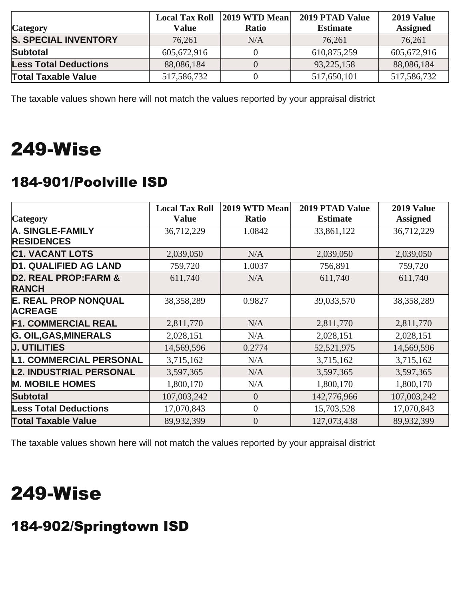|                              |             | Local Tax Roll 2019 WTD Mean | 2019 PTAD Value | 2019 Value      |
|------------------------------|-------------|------------------------------|-----------------|-----------------|
| <b>Category</b>              | Value       | <b>Ratio</b>                 | <b>Estimate</b> | <b>Assigned</b> |
| <b>S. SPECIAL INVENTORY</b>  | 76,261      | N/A                          | 76,261          | 76,261          |
| <b>Subtotal</b>              | 605,672,916 |                              | 610,875,259     | 605,672,916     |
| <b>Less Total Deductions</b> | 88,086,184  |                              | 93,225,158      | 88,086,184      |
| <b>Total Taxable Value</b>   | 517,586,732 |                              | 517,650,101     | 517, 586, 732   |

### 249-Wise

#### 184-901/Poolville ISD

|                                 | <b>Local Tax Roll</b> | 2019 WTD Mean  | <b>2019 PTAD Value</b> | 2019 Value      |
|---------------------------------|-----------------------|----------------|------------------------|-----------------|
| <b>Category</b>                 | <b>Value</b>          | Ratio          | <b>Estimate</b>        | <b>Assigned</b> |
| <b>A. SINGLE-FAMILY</b>         | 36,712,229            | 1.0842         | 33,861,122             | 36,712,229      |
| <b>RESIDENCES</b>               |                       |                |                        |                 |
| <b>C1. VACANT LOTS</b>          | 2,039,050             | N/A            | 2,039,050              | 2,039,050       |
| <b>D1. QUALIFIED AG LAND</b>    | 759,720               | 1.0037         | 756,891                | 759,720         |
| <b>D2. REAL PROP:FARM &amp;</b> | 611,740               | N/A            | 611,740                | 611,740         |
| <b>RANCH</b>                    |                       |                |                        |                 |
| <b>E. REAL PROP NONQUAL</b>     | 38,358,289            | 0.9827         | 39,033,570             | 38,358,289      |
| <b>ACREAGE</b>                  |                       |                |                        |                 |
| <b>F1. COMMERCIAL REAL</b>      | 2,811,770             | N/A            | 2,811,770              | 2,811,770       |
| <b>G. OIL, GAS, MINERALS</b>    | 2,028,151             | N/A            | 2,028,151              | 2,028,151       |
| <b>J. UTILITIES</b>             | 14,569,596            | 0.2774         | 52,521,975             | 14,569,596      |
| <b>L1. COMMERCIAL PERSONAL</b>  | 3,715,162             | N/A            | 3,715,162              | 3,715,162       |
| <b>L2. INDUSTRIAL PERSONAL</b>  | 3,597,365             | N/A            | 3,597,365              | 3,597,365       |
| <b>M. MOBILE HOMES</b>          | 1,800,170             | N/A            | 1,800,170              | 1,800,170       |
| <b>Subtotal</b>                 | 107,003,242           | $\overline{0}$ | 142,776,966            | 107,003,242     |
| <b>Less Total Deductions</b>    | 17,070,843            | $\overline{0}$ | 15,703,528             | 17,070,843      |
| <b>Total Taxable Value</b>      | 89,932,399            | $\overline{0}$ | 127,073,438            | 89,932,399      |

The taxable values shown here will not match the values reported by your appraisal district

### 249-Wise

#### 184-902/Springtown ISD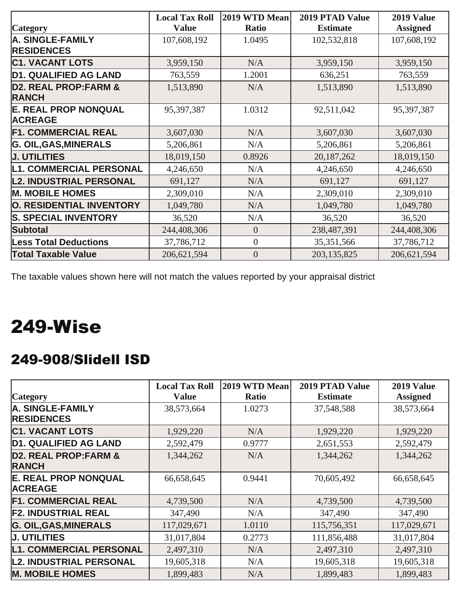|                                                 | <b>Local Tax Roll</b> | 2019 WTD Mean    | 2019 PTAD Value | 2019 Value      |
|-------------------------------------------------|-----------------------|------------------|-----------------|-----------------|
| <b>Category</b>                                 | <b>Value</b>          | Ratio            | <b>Estimate</b> | <b>Assigned</b> |
| <b>A. SINGLE-FAMILY</b>                         | 107,608,192           | 1.0495           | 102,532,818     | 107,608,192     |
| <b>RESIDENCES</b>                               |                       |                  |                 |                 |
| <b>C1. VACANT LOTS</b>                          | 3,959,150             | N/A              | 3,959,150       | 3,959,150       |
| <b>D1. QUALIFIED AG LAND</b>                    | 763,559               | 1.2001           | 636,251         | 763,559         |
| <b>D2. REAL PROP:FARM &amp;</b><br><b>RANCH</b> | 1,513,890             | N/A              | 1,513,890       | 1,513,890       |
| <b>E. REAL PROP NONQUAL</b><br><b>ACREAGE</b>   | 95,397,387            | 1.0312           | 92,511,042      | 95,397,387      |
| <b>F1. COMMERCIAL REAL</b>                      | 3,607,030             | N/A              | 3,607,030       | 3,607,030       |
| <b>G. OIL, GAS, MINERALS</b>                    | 5,206,861             | N/A              | 5,206,861       | 5,206,861       |
| <b>J. UTILITIES</b>                             | 18,019,150            | 0.8926           | 20,187,262      | 18,019,150      |
| <b>L1. COMMERCIAL PERSONAL</b>                  | 4,246,650             | N/A              | 4,246,650       | 4,246,650       |
| <b>L2. INDUSTRIAL PERSONAL</b>                  | 691,127               | N/A              | 691,127         | 691,127         |
| <b>M. MOBILE HOMES</b>                          | 2,309,010             | N/A              | 2,309,010       | 2,309,010       |
| O. RESIDENTIAL INVENTORY                        | 1,049,780             | N/A              | 1,049,780       | 1,049,780       |
| <b>S. SPECIAL INVENTORY</b>                     | 36,520                | N/A              | 36,520          | 36,520          |
| <b>Subtotal</b>                                 | 244,408,306           | $\theta$         | 238,487,391     | 244,408,306     |
| <b>Less Total Deductions</b>                    | 37,786,712            | $\overline{0}$   | 35, 351, 566    | 37,786,712      |
| <b>Total Taxable Value</b>                      | 206,621,594           | $\boldsymbol{0}$ | 203,135,825     | 206, 621, 594   |

### 249-Wise

#### 249-908/Slidell ISD

|                                                 | <b>Local Tax Roll</b> | 2019 WTD Mean | <b>2019 PTAD Value</b> | 2019 Value      |
|-------------------------------------------------|-----------------------|---------------|------------------------|-----------------|
| <b>Category</b>                                 | <b>Value</b>          | <b>Ratio</b>  | <b>Estimate</b>        | <b>Assigned</b> |
| <b>A. SINGLE-FAMILY</b><br><b>RESIDENCES</b>    | 38,573,664            | 1.0273        | 37,548,588             | 38,573,664      |
| <b>C1. VACANT LOTS</b>                          | 1,929,220             | N/A           | 1,929,220              | 1,929,220       |
| <b>D1. QUALIFIED AG LAND</b>                    | 2,592,479             | 0.9777        | 2,651,553              | 2,592,479       |
| <b>D2. REAL PROP:FARM &amp;</b><br><b>RANCH</b> | 1,344,262             | N/A           | 1,344,262              | 1,344,262       |
| <b>E. REAL PROP NONQUAL</b><br><b>ACREAGE</b>   | 66,658,645            | 0.9441        | 70,605,492             | 66,658,645      |
| <b>F1. COMMERCIAL REAL</b>                      | 4,739,500             | N/A           | 4,739,500              | 4,739,500       |
| <b>F2. INDUSTRIAL REAL</b>                      | 347,490               | N/A           | 347,490                | 347,490         |
| <b>G. OIL, GAS, MINERALS</b>                    | 117,029,671           | 1.0110        | 115,756,351            | 117,029,671     |
| <b>J. UTILITIES</b>                             | 31,017,804            | 0.2773        | 111,856,488            | 31,017,804      |
| <b>L1. COMMERCIAL PERSONAL</b>                  | 2,497,310             | N/A           | 2,497,310              | 2,497,310       |
| <b>L2. INDUSTRIAL PERSONAL</b>                  | 19,605,318            | N/A           | 19,605,318             | 19,605,318      |
| <b>M. MOBILE HOMES</b>                          | 1,899,483             | N/A           | 1,899,483              | 1,899,483       |